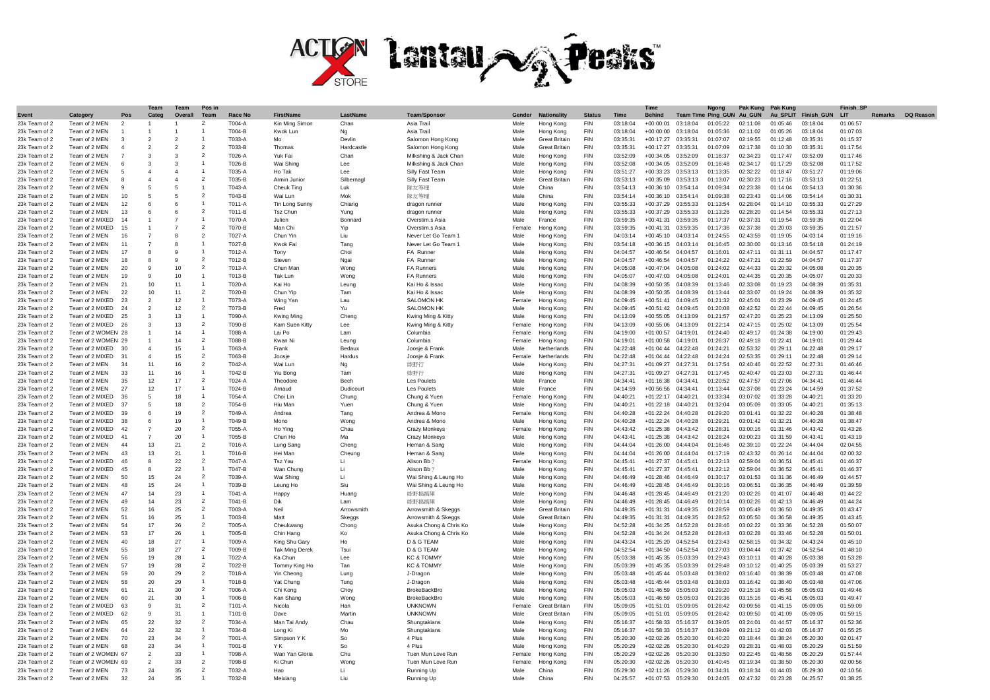

|               |                    |                | Team           | Team                     | Pos in                   |            |                       |            |                        |        |                      |               |             | <b>Time</b>            |                  | Naona           | Pak Kung | <b>Pak Kund</b> |                   | <b>Finish SP</b> |                   |
|---------------|--------------------|----------------|----------------|--------------------------|--------------------------|------------|-----------------------|------------|------------------------|--------|----------------------|---------------|-------------|------------------------|------------------|-----------------|----------|-----------------|-------------------|------------------|-------------------|
| Event         | Categon            | Pos            | Categ          | Overall                  | Team                     | Race No    | <b>FirstName</b>      | LastName   | <b>Team/Sponsor</b>    | Gender | <b>Nationality</b>   | <b>Status</b> | <b>Time</b> | <b>Behind</b>          | <b>Team Time</b> | <b>Ping GUN</b> | Au GUN   | Au SPLIT        | <b>Finish GUN</b> | LIT              | Remarks DQ Reason |
| 23k Team of 2 | Team of 2 MEN      | $\mathfrak{p}$ |                |                          | $\overline{2}$           | T004-A     | Kin Ming Simon        | Chan       | Asia Trail             | Male   | Hong Konc            | <b>FIN</b>    | 03:18:04    | $+00:00:01$            | 03:18:04         | 01:05:22        | 02:11:08 | 01:05:46        | 03:18:04          | 01:06:57         |                   |
| 23k Team of 2 | Team of 2 MEN      |                |                |                          |                          | T004-B     | Kwok Lun              | Na         | Asia Trail             | Male   | Hona Kona            | <b>FIN</b>    | 03:18:04    | $+00:00:00$            | 03:18:04         | 01:05:36        | 02:11:02 | 01:05:26        | 03:18:04          | 01:07:03         |                   |
| 23k Team of 2 | Team of 2 MFN      | $\mathbf{R}$   | $\overline{2}$ | $\mathfrak{p}$           | $\mathbf{1}$             | T033-A     | Mo                    | Devlin     | Salomon Hong Kong      | Male   | <b>Great Britain</b> | <b>FIN</b>    | 03:35:3'    | $+00:17:27$            | 03:35:31         | 01:07:07        | 02:19:55 | 01:12:48        | 03:35:31          | 01:15:37         |                   |
|               | Team of 2 MEN      | $\Delta$       |                | $\overline{\phantom{a}}$ | $\mathfrak{p}$           |            |                       | Hardcastle |                        | Male   | <b>Great Britain</b> | <b>FIN</b>    | 03:35:31    | $+00:17:27$            | 03:35:31         | 01:07:09        | 02:17:38 | 01:10:30        | 03:35:31          |                  |                   |
| 23k Team of 2 |                    |                |                |                          | $\mathcal{P}$            | T033-B     | Thomas                |            | Salomon Hong Kong      |        |                      |               |             |                        |                  |                 |          |                 |                   | 01:17:54         |                   |
| 23k Team of 2 | Team of 2 MEN      |                | $\mathbf{R}$   | $\mathcal{R}$            |                          | T026-A     | Yuk Fai               | Char       | Milkshing & Jack Char  | Male   | Hong Kong            | <b>FIN</b>    | 03:52:09    | $+00:34:05$            | 03:52:09         | 01:16:37        | 02:34:23 | 01:17:47        | 03:52:09          | 01:17:46         |                   |
| 23k Team of 2 | Team of 2 MEN      |                | $\mathbf{3}$   | 3                        |                          | T026-B     | Wai Shing             | Lee        | Milkshing & Jack Char  | Male   | Hong Kong            | <b>FIN</b>    | 03:52:08    | $+00:34:05$            | 03:52:09         | 01:16:48        | 02:34:17 | 01:17:29        | 03:52:08          | 01:17:52         |                   |
| 23k Team of 2 | Team of 2 MEN      |                |                |                          |                          | T035-A     | Ho Tak                | Lee        | Silly Fast Team        | Male   | Hong Kong            | <b>FIN</b>    | 03:51:27    | $+00:33:23$            | 03:53:13         | 01:13:35        | 02:32:22 | 01:18:47        | 03:51:27          | 01:19:06         |                   |
| 23k Team of 2 | Team of 2 MEN      |                |                |                          | $\mathfrak{p}$           | T035-B     | Armin Junio           | Silbernan  | Silly Fast Team        | Male   | Great Britain        | <b>FIN</b>    | 03:53:13    | $+00:35:09$            | 03:53:13         | 01:13:07        | 02:30:23 | 01:17:16        | 03:53:13          | 01:22:51         |                   |
| 23k Team of 2 | Team of 2 MFN      | q              | -5             | -5                       |                          | T043-A     | Cheuk Ting            | Luk        | 隊友等埋                   | Male   | China                | <b>FIN</b>    | 03:54:13    | $+00:36:10$            | 03:54:14         | 01:09:34        | 02:23:38 | 01:14:04        | 03:54:13          | 01:30:36         |                   |
| 23k Team of 2 | Team of 2 MFN      | 10             | -5             | -5                       | $\overline{\phantom{0}}$ | T043-B     | Wai Lun               | Mok        | 隊友等埋                   | Male   | China                | <b>FIN</b>    | 03:54:14    | $+00:36:10$            | 03:54:14         | 01:09:38        | 02:23:43 | 01:14:06        | 03:54:14          | 01:30:31         |                   |
| 23k Team of 2 | Team of 2 MEN      | 12             | -6             | -6                       |                          | T011-A     | Tin Long Sunny        | Chiang     | dragon runner          | Male   | Hona Kona            | <b>FIN</b>    | 03:55:33    | $+00:37:29$            | 03:55:33         | 01:13:54        | 02.28.04 | 01:14:10        | 03:55:33          | 01:27:29         |                   |
| 23k Team of 2 | Team of 2 MEN      | 13             | - 6            |                          | $\mathfrak{p}$           | T011-B     | <b>Tsz Chur</b>       | Yuna       | dragon runner          | Male   | Hong Kong            | <b>FIN</b>    | 03:55:33    | $+00:37:29$            | 03:55:33         | 01:13:26        | 02:28:20 | 01:14:54        | 03:55:33          | 01:27:13         |                   |
| 23k Team of 2 | Team of 2 MIXED    | 14             |                | $\overline{7}$           |                          | T070-A     | Julien                | Bonnard    | Overstim.s Asia        | Male   | France               | <b>FIN</b>    | 03:59:35    | $+00:41:31$            | 03:59:35         | 01:17:37        | 02:37:31 | 01:19:54        | 03:59:35          | 01:22:04         |                   |
| 23k Team of 2 | Team of 2 MIXED    | 15             |                |                          | $\mathfrak{p}$           | T070-B     | Man Chi               | Yip        | Overstim.s Asia        | Femal  | Hong Kong            | <b>FIN</b>    | 03:59:35    | $+00:41:31$            | 03:59:35         | 01:17:36        | 02:37:38 | 01:20:03        | 03:59:35          | 01:21:57         |                   |
| 23k Team of 2 | Team of 2 MEN      | 16             |                | 8                        | $\overline{2}$           | T027-A     | Chun Yin              | Liu        | Never Let Go Team      | Male   | Hong Konc            | <b>FIN</b>    | 04:03:14    | $+00:45:10$            | 04:03:14         | 01:24:55        | 02:43:59 | 01:19:05        | 04:03:14          | 01:19:16         |                   |
| 23k Team of 2 | Team of 2 MFN      | 11             |                | $\alpha$                 | $\mathbf{1}$             | T027-B     | Kwok Fai              | Tano       | Never Let Go Team      | Male   | Hong Kong            | <b>FIN</b>    | 03:54:18    | $+00:36:15$            | 04:03:14         | 01:16:45        | 02:30:00 | 01:13:16        | 03:54:18          | 01:24:19         |                   |
| 23k Team of 2 | Team of 2 MFN      | 17             | $\mathbf{R}$   | $\circ$                  | $\overline{1}$           | T012-A     |                       | Choi       | FA Runner              | Male   |                      | <b>FIN</b>    | 04:04:57    | $+00:46:54$            | 04.04.57         | 01:16:01        | 02:47:11 | 01:31:11        | 04:04:57          | 01:17:47         |                   |
|               |                    |                | $\mathbf{R}$   |                          | $\overline{\phantom{0}}$ |            | Tony                  |            |                        |        | Hong Kong            |               |             |                        |                  |                 |          |                 |                   |                  |                   |
| 23k Team of 2 | Team of 2 MEN      | 18             | $\alpha$       |                          | $\overline{2}$           | T012-B     | Steven                | Ngai       | FA Runner              | Male   | Hong Kong            | <b>FIN</b>    | 04:04:57    | $+00:46:54$            | 04:04:57         | 01:24:22        | 02:47:21 | 01:22:59        | 04:04:57          | 01:17:37         |                   |
| 23k Team of 2 | Team of 2 MEN      | 20             |                | 10                       |                          | T013-A     | Chun Man              | Wong       | <b>FA Runners</b>      | Male   | Hong Kong            | <b>FIN</b>    | 04:05:08    | $+00:47:04$            | 04:05:08         | 01:24:02        | 02:44:33 | 01:20:32        | 04:05:08          | 01:20:35         |                   |
| 23k Team of 2 | Team of 2 MFN      | 19             | 9              | 10                       | $\overline{1}$           | T013-B     | Tak Lun               | Wong       | FA Runners             | Male   | Hong Kong            | <b>FIN</b>    | 04:05:07    | $+00:47:03$            | 04:05:08         | 01:24:01        | 02:44:35 | 01:20:35        | 04:05:07          | 01:20:33         |                   |
| 23k Team of 2 | Team of 2 MEN      | 21             | 10             | 11                       | $\overline{1}$           | T020-A     | Kai Ho                | Leung      | Kai Ho & Issac         | Male   | Hona Kona            | <b>FIN</b>    | 04:08:39    | +00:50:35 04:08:39     |                  | 01:13:46        | 02:33:08 | 01:19:23        | 04:08:39          | 01:35:31         |                   |
| 23k Team of 2 | Team of 2 MEN      | 22             | 10             | 11                       | $\overline{\phantom{a}}$ | T020-B     | Chun Yin              | Tam        | Kai Ho & Issac         | Male   | Hong Kong            | <b>FIN</b>    | 04:08:39    | $+00:50:35$            | 04:08:39         | 01:13:44        | 02:33:07 | 01:19:24        | 04:08:39          | 01:35:32         |                   |
| 23k Team of 2 | Team of 2 MIXED    | 23             | $\overline{2}$ | 12                       | $\overline{1}$           | T073-A     | Wing Yan              | Lau        | <b>SALOMON HK</b>      | Femal  | Hona Kona            | <b>FIN</b>    | 04:09:45    | $+00:51:41$            | 04:09:45         | 01:21:32        | 02:45:01 | 01:23:29        | 04:09:45          | 01:24:45         |                   |
| 23k Team of 2 | Team of 2 MIXED    | 24             | $\overline{2}$ | 12                       | $\overline{2}$           | T073-B     | Fred                  | Yu         | SALOMON HK             | Male   | Hong Kong            | <b>FIN</b>    | 04:09:45    | $+00:51:42$            | 04:09:45         | 01:20:08        | 02:42:52 | 01:22:44        | 04:09:45          | 01:26:54         |                   |
| 23k Team of 2 | Team of 2 MIXED    | 25             | $\cdot$ 3      | 13                       | $\overline{1}$           | T090-A     | Kwing Ming            | Cheng      | Kwing Ming & Kitty     | Male   | Hong Kong            | <b>FIN</b>    | 04:13:09    | $+00:55:05$            | 04:13:09         | 01:21:57        | 02:47:20 | 01:25:23        | 04:13:09          | 01:25:50         |                   |
| 23k Team of 2 | Team of 2 MIXED    | 26             | $\mathbf{3}$   | 13                       | $\overline{2}$           | T090-B     | Kam Suen Kitty        | Lee        | Kwing Ming & Kitty     | Femal  | Hong Kong            | <b>FIN</b>    | 04:13:09    | $+00:55:06$            | 04:13:09         | 01:22:14        | 02:47:15 | 01:25:02        | 04:13:09          | 01:25:54         |                   |
| 23k Team of 2 | Team of 2 WOMEN 28 |                |                | 14                       | 1                        | T088-A     | Lai Po                | Lam        | Columbia               | Female | Hong Kong            | <b>FIN</b>    | 04:19:00    | $+01:00:57$            | 04:19:01         | 01:24:40        | 02:49:17 | 01:24:38        | 04:19:00          | 01:29:43         |                   |
| 23k Team of 2 | Team of 2 WOMEN 29 |                |                | 14                       | $\overline{2}$           | T088-B     | Kwan Ni               | Leung      | Columbia               | Female | Hona Kona            | <b>FIN</b>    | 04:19:01    | $+01:00:58$            | 04:19:01         | 01:26:37        | 02:49:18 | 01:22:41        | 04:19:01          | 01:29:44         |                   |
| 23k Team of 2 | Team of 2 MIXED    | $30^{\circ}$   |                | 15                       | $\overline{1}$           | T063-A     | Frank                 | Bedaux     | Joosje & Frank         | Male   | Netherlands          | <b>FIN</b>    | 04:22:48    | $+01:04:44$            | 04:22:48         | 01:24:21        | 02:53:32 | 01:29:11        | 04:22:48          | 01:29:17         |                   |
| 23k Team of 2 | Team of 2 MIXED    | 31             |                | 15                       | $\overline{2}$           | T063-B     | Joosje                | Hardus     | Joosje & Frank         | Female | Netherlands          | <b>FIN</b>    | 04:22:48    | $+01:04:44$            | 04:22:48         | 01:24:24        | 02:53:35 | 01:29:11        | 04:22:48          | 01:29:14         |                   |
| 23k Team of 2 | Team of 2 MEN      | 34             | 11             | 16                       | $\overline{\phantom{0}}$ | T042-A     | Wai Lun               |            |                        | Male   |                      | <b>FIN</b>    | 04:27:3'    | $+01:09:27$            | 04:27:31         | 01:17:54        | 02:40:46 | 01:22:52        | 04:27:31          | 01:46:46         |                   |
|               |                    |                |                |                          | $\overline{1}$           |            |                       | Ng         | 綠野行                    |        | Hong Kong            |               |             |                        |                  |                 |          |                 |                   |                  |                   |
| 23k Team of 2 | Team of 2 MEN      | 33             | 11             | 16                       |                          | T042-B     | Yiu Bond              | Tan        | 綠野行                    | Male   | Hong Kong            | <b>FIN</b>    | 04:27:31    | $+01:09:27$            | 04:27:31         | 01:17:45        | 02:40:47 | 01:23:03        | 04:27:31          | 01:46:44         |                   |
| 23k Team of 2 | Team of 2 MEN      | 35             | 12             | 17                       | $\overline{2}$           | T024-A     | Theodore              | Bech       | Les Poulets            | Male   | France               | <b>FIN</b>    | 04:34:41    | $+01:16:38$            | 04:34:41         | 01:20:52        | 02:47:57 | 01:27:06        | 04:34:41          | 01:46:44         |                   |
| 23k Team of 2 | Team of 2 MFN      | 27             | 12             | 17                       |                          | T024-B     | Arnaud                | Dudicourt  | Les Poulets            | Male   | France               | <b>FIN</b>    | 04:14:59    | $+00:56:56$            | 04:34:41         | 01:13:44        | 02:37:08 | 01:23:24        | 04:14:59          | 01:37:52         |                   |
| 23k Team of 2 | Team of 2 MIXED    | 36             |                | 18                       |                          | T054-A     | Choi Lin              | Chung      | Chung & Yuen           | Female | Hong Kong            | <b>FIN</b>    | 04:40:21    | +01:22:17 04:40:21     |                  | 01:33:34        | 03:07:02 | 01:33:28        | 04:40:21          | 01:33:20         |                   |
| 23k Team of 2 | Team of 2 MIXED    | 37             | -5             | 18                       | $\overline{\phantom{0}}$ | T054-R     | Hiu Man               | Yuen       | Chung & Yuer           | Male   | Hong Kong            | <b>FIN</b>    | 04.40.21    | $+01.22.18$ $04.40.21$ |                  | 01:32:04        | 03.05.09 | 01.33.05        | 04.40.21          | 01:35:13         |                   |
| 23k Team of 2 | Team of 2 MIXED    | 39             | - 6            | 19                       | $\overline{\phantom{0}}$ | T049-A     | Andrea                | Tang       | Andrea & Mond          | Femal  | Hong Kong            | <b>FIN</b>    | 04:40:28    | $+01:22:24$            | 04:40:28         | 01:29:20        | 03:01:41 | 01:32:22        | 04:40:28          | 01:38:48         |                   |
| 23k Team of 2 | Team of 2 MIXED    | 38             | - 6            | 19                       | -1                       | T049-B     | Mono                  | Wong       | Andrea & Mond          | Male   | Hong Kong            | <b>FIN</b>    | 04:40:28    | $+01:22:24$            | 04:40:28         | 01:29:21        | 03:01:42 | 01:32:21        | 04:40:28          | 01:38:47         |                   |
| 23k Team of 2 | Team of 2 MIXED    | 42             | $\overline{7}$ | 20                       | $\overline{2}$           | $T055 - A$ | Ho Ying               | Chau       | <b>Crazy Monkeys</b>   | Femal  | Hong Kong            | <b>FIN</b>    | 04:43:42    | $+01:25:38$            | 04:43:42         | 01:28:31        | 03:00:16 | 01:31:46        | 04:43:42          | 01:43:26         |                   |
| 23k Team of 2 | Team of 2 MIXED    | 41             | $\overline{7}$ | 20                       |                          | T055-B     | Chun Ho               | Ma         | Crazy Monkeys          | Male   | Hong Kong            | <b>FIN</b>    | 04:43:41    | $+01:25:38$            | 04:43:42         | 01:28:24        | 03:00:23 | 01:31:59        | 04:43:41          | 01:43:19         |                   |
| 23k Team of 2 | Team of 2 MEN      | 44             | 13             | 21                       | $\overline{2}$           | T016-A     | Lung Sang             | Cheng      | Heman & Sand           | Male   | Hong Kong            | <b>FIN</b>    | 04:44:04    | $+01:26:00$            | 04:44:04         | 01:16:46        | 02:39:10 | 01:22:24        | 04:44:04          | 02:04:55         |                   |
| 23k Team of 2 | Team of 2 MEN      | 43             | 13             | 21                       | $\overline{1}$           | T016-B     | Hei Man               | Cheung     | Heman & Sano           | Male   | Hong Kong            | <b>FIN</b>    | 04.44.04    | $+01:26:00$            | 04.44.04         | 01:17:19        | 02:43:32 | 01:26:14        | 04:44:04          | 02:00:32         |                   |
| 23k Team of 2 | Team of 2 MIXED    | 46             | $\mathbf{g}$   | 22                       | $\overline{2}$           | T047-A     | Tsz Yau               | Li         | Alison Bh              | Femal  | Hong Kong            | <b>FIN</b>    | 04:45:41    | $+01:27:37$            | 04:45:41         | 01:22:13        | 02:59:04 | 01:36:51        | 04:45:41          | 01:46:37         |                   |
| 23k Team of 2 | Team of 2 MIXED    | 45             | $\mathbf{R}$   | 22                       | $\overline{1}$           | T047-B     | Wan Chung             | Li         | Alison Bb              | Male   | Hong Kong            | <b>FIN</b>    | 04:45:41    | $+01:27:37$            | 04:45:41         | 01:22:12        | 02:59:04 | 01:36:52        | 04:45:41          | 01:46:37         |                   |
| 23k Team of 2 | Team of 2 MEN      | 50             | 15             | 24                       | $\overline{\phantom{a}}$ | T039-A     | Wai Shing             | Li         | Wai Shing & Leung Ho   | Male   |                      | <b>FIN</b>    | 04:46:49    | $+01:28:46$            | 04:46:49         | 01:30:17        | 03:01:53 | 01:31:36        | 04:46:49          | 01:44:57         |                   |
| 23k Team of 2 | Team of 2 MEN      | 48             | 15             | 24                       | $\overline{1}$           | T039-B     | Leung Ho              | Siu        | Wai Shing & Leung Ho   | Male   | Hong Kong            | <b>FIN</b>    | 04:46:49    | $+01:28:45$            | 04:46:49         | 01:30:16        | 03:06:51 | 01:36:35        | 04:46:49          | 01:39:59         |                   |
|               |                    |                | 14             |                          | $\overline{1}$           |            |                       |            |                        |        | Hong Kong            |               |             |                        |                  |                 |          |                 |                   |                  |                   |
| 23k Team of 2 | Team of 2 MEN      | 47             |                | 23                       | $\overline{2}$           | T041-A     | Happy                 | Huand      | 綠野搞搞陣                  | Male   | Hong Kong            | <b>FIN</b>    | 04:46:48    | +01:28:45 04:46:49     |                  | 01:21:20        | 03:02:26 | 01:41:07        | 04:46:48          | 01:44:22         |                   |
| 23k Team of 2 | Team of 2 MEN      | 49             | 14             | 23                       |                          | T041-B     | Dik                   | Lam        | 终野糕糕随                  | Male   | Hong Kong            | <b>FIN</b>    | 04:46:49    | +01:28:45 04:46:49     |                  | 01:20:14        | 03:02:26 | 01:42:13        | 04:46:49          | 01:44:24         |                   |
| 23k Team of 2 | Team of 2 MEN      | 52             | 16             | 25                       | $\overline{2}$           | T003-A     | Neil                  | Arrowsmith | Arrowsmith & Skeggs    | Male   | <b>Great Britain</b> | <b>FIN</b>    | 04:49:35    | $+01:31:31$            | 04:49:35         | 01:28:59        | 03:05:49 | 01:36:50        | 04:49:35          | 01:43:47         |                   |
| 23k Team of 2 | Team of 2 MEN      | 51             | 16             | 25                       | $\overline{1}$           | T003-B     | Matt                  | Skeggs     | Arrowsmith & Skeggs    | Male   | <b>Great Britain</b> | <b>FIN</b>    | 04.49.35    | $+01:31:31$            | 04.49.35         | 01:28:52        | 03:05:50 | 01.36.58        | 04.49.35          | 01:43:45         |                   |
| 23k Team of 2 | Team of 2 MEN      | 54             | 17             | 26                       | $\overline{\phantom{0}}$ | T005-A     | Cheukwand             | Chong      | Asuka Chong & Chris Ko | Male   | Hong Kong            | <b>FIN</b>    | 04:52:28    | $+01:34:25$            | 04:52:28         | 01:28:46        | 03:02:22 | 01:33:36        | 04:52:28          | 01:50:07         |                   |
| 23k Team of 2 | Team of 2 MEN      | 53             | 17             | 26                       | $\mathbf{1}$             | T005-B     | Chin Hang             | Ko         | Asuka Chong & Chris Ko | Male   | Hong Kong            | <b>FIN</b>    | 04:52:28    | $+01:34:24$            | 04:52:28         | 01:28:43        | 03:02:28 | 01:33:46        | 04:52:28          | 01:50:01         |                   |
| 23k Team of 2 | Team of 2 MEN      | 40             | 18             | 27                       |                          | T009-A     | King Shu Gary         | Ho         | D & G TEAM             | Male   | Hong Kong            | <b>FIN</b>    | 04:43:24    | $+01:25:20$            | 04:52:54         | 01:23:43        | 02:58:15 | 01:34:32        | 04:43:24          | 01:45:10         |                   |
| 23k Team of 2 | Team of 2 MEN      | 55             | 18             | 27                       | $\overline{2}$           | T009-B     | <b>Tak Ming Derek</b> | Tsui       | D & G TEAM             | Male   | Hong Kong            | <b>FIN</b>    | 04:52:54    | $+01:34:50$            | 04:52:54         | 01:27:03        | 03:04:44 | 01:37:42        | 04:52:54          | 01:48:10         |                   |
| 23k Team of 2 | Team of 2 MEN      | 56             | 19             | 28                       | $\mathbf{1}$             | T022-A     | Ka Chun               | Lee        | <b>KC &amp; TOMMY</b>  | Male   | Hong Kong            | <b>FIN</b>    | 05:03:38    | $+01:45:35$            | 05:03:39         | 01:29:43        | 03:10:11 | 01:40:28        | 05:03:38          | 01:53:28         |                   |
| 23k Team of 2 | Team of 2 MEN      | 57             | 19             | 28                       | $\overline{\phantom{0}}$ | T022-B     | Tommy King Ho         | Tan        | <b>KC &amp; TOMMY</b>  | Male   | Hong Kong            | <b>FIN</b>    | 05:03:39    | $+01:45:35$            | 05:03:39         | $01.29 - 48$    | 03.10.12 | 01.40.25        | 05.03.39          | 01:53:27         |                   |
| 23k Team of 2 | Team of 2 MFN      | 59             | 20             | 29                       | $\overline{\phantom{0}}$ | T018-A     | Yin Cheong            | Lung       | J-Dragon               | Male   | Hong Kong            | <b>FIN</b>    | 05:03:48    | $+01:45:44$            | 05:03:48         | 01:38:02        | 03:16:40 | 01:38:39        | 05:03:48          | 01:47:08         |                   |
| 23k Team of 2 | Team of 2 MEN      | 58             | 20             | 29                       | $\overline{1}$           | T018-B     | Yat Chung             | Tung       | J-Dragon               | Male   | Hong Kong            | <b>FIN</b>    | 05:03:48    | $+01:45:44$            | 05:03:48         | 01:38:03        | 03:16:42 | 01:38:40        | 05:03:48          | 01:47:06         |                   |
| 23k Team of 2 | Team of 2 MEN      | 61             | 21             | 30                       | $\mathcal{P}$            | T006-A     | Chi Kong              | Choy       | BrokeBackBro           | Male   | Hong Kong            | <b>FIN</b>    | 05:05:03    | $+01:46:59$            | 05:05:03         | 01:29:20        | 03:15:18 | 01:45:58        | 05:05:03          | 01:49:46         |                   |
| 23k Team of 2 | Team of 2 MEN      | 60             | 21             | 30                       | $\mathbf{1}$             | T006-B     | Kan Shang             | Wong       | <b>BrokeBackBro</b>    | Male   | Hong Kong            | <b>FIN</b>    | 05:05:03    | $+01:46:59$            | 05:05:03         | 01:29:36        | 03:15:16 | 01:45:41        | 05:05:03          | 01:49:47         |                   |
|               |                    |                | -9             | 31                       | $\overline{2}$           |            |                       |            |                        |        |                      |               |             |                        |                  |                 | 03:09:56 |                 |                   |                  |                   |
| 23k Team of 2 | Team of 2 MIXED    | 63             |                | 31                       |                          | T101-A     | Nicola                | Han        | <b>UNKNOWN</b>         | Female | Great Britain        | <b>FIN</b>    | 05:09:05    | $+01:51:01$            | 05:09:05         | 01:28:42        |          | 01:41:15        | 05:09:05          | 01:59:09         |                   |
| 23k Team of 2 | Team of 2 MIXED    | 62             | $\alpha$       |                          |                          | T101-B     | <b>Dave</b>           | Martin     | <b>UNKNOWN</b>         | Male   | <b>Great Britain</b> | <b>FIN</b>    | 05:09:05    | $+01:51:01$            | 05:09:05         | 01:28:42        | 03:09:50 | 01:41:09        | 05:09:05          | 01:59:15         |                   |
| 23k Team of 2 | Team of 2 MEN      | 65             | 22             | 32                       | $\overline{2}$           | T034-A     | Man Tai Andy          | Chau       | Shungtakians           | Male   | Hona Kona            | <b>FIN</b>    | 05:16:37    | $+01:58:33$            | 05:16:37         | 01:39:05        | 03:24:01 | 01:44:57        | 05:16:37          | 01:52:36         |                   |
| 23k Team of 2 | Team of 2 MEN      | 64             | 22             | 32                       | -1                       | T034-B     | Long Ki               | Mo         | Shungtakians           | Male   | Hong Kong            | <b>FIN</b>    | 05:16:37    | $+01:58:33$            | 05:16:37         | 01:39:09        | 03:21:12 | 01:42:03        | 05:16:37          | 01:55:25         |                   |
| 23k Team of 2 | Team of 2 MEN      | 70             | 23             | 34                       | $\overline{\phantom{a}}$ | T001-A     | Simpson Y K           | So         | 4 Plus                 | Male   | Hong Kong            | <b>FIN</b>    | 05:20:30    | $+02:02:26$            | 05:20:30         | 01:40:20        | 03:18:44 | 01:38:24        | 05:20:30          | 02:01:47         |                   |
| 23k Team of 2 | Team of 2 MEN      | 68             | 23             | 34                       | 1                        | T001-B     | YK                    | So         | 4 Plus                 | Male   | Hong Kong            | <b>FIN</b>    | 05:20:29    | $+02:02:26$            | 05:20:30         | 01:40:29        | 03:28:31 | 01:48:03        | 05:20:29          | 01:51:59         |                   |
| 23k Team of 2 | Team of 2 WOMEN    | 67             | $\overline{2}$ | 33                       |                          | T098-A     | Wan Yan Gloria        | Chu        | Tuen Mun Love Run      | Female | Hong Kong            | <b>FIN</b>    | 05:20:29    | $+02:02:26$            | 05:20:30         | 01:33:50        | 03:22:45 | 01:48:56        | 05:20:29          | 01:57:44         |                   |
| 23k Team of 2 | Team of 2 WOMEN 69 |                | $\overline{2}$ | 33                       | $\overline{2}$           | T098-B     | Ki Chun               | Wong       | Tuen Mun Love Run      | Female | Hong Kong            | <b>FIN</b>    | 05:20:30    | $+02:02:26$            | 05:20:30         | 01.40.45        | 03:19:34 | 01:38:50        | 05:20:30          | 02:00:56         |                   |
| 23k Team of 2 | Team of 2 MFN      | 73             | 24             | 35                       | $\overline{2}$           | $T032 - A$ | Hao                   | Li         | Running Up             | Male   | China                | <b>FIN</b>    | 05:29:30    | $+02:11:26$            | 05:29:30         | 01:34:31        | 03:18:34 | 01:44:03        | 05:29:30          | 02:10:56         |                   |
| 23k Team of 2 | Team of 2 MEN      | 32             | 24             | 35                       | $\overline{1}$           | T032-B     | Meixiang              | Liu        | Running Up             | Male   | China                | <b>FIN</b>    | 04:25:57    | +01:07:53 05:29:30     |                  | 01:24:05        | 02:47:32 | 01:23:28        | 04:25:57          | 01:38:25         |                   |
|               |                    |                |                |                          |                          |            |                       |            |                        |        |                      |               |             |                        |                  |                 |          |                 |                   |                  |                   |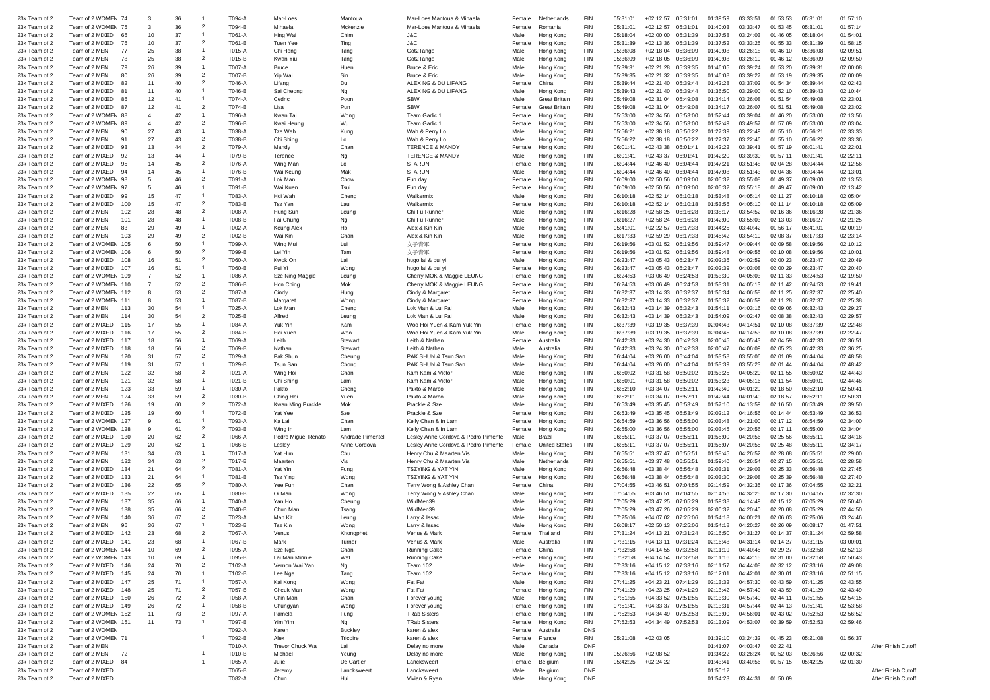| 23k Team of 2 | Team of 2 WOMEN 74                |              | -3             | 36 |                          | T094-A | Mar-Loes            | Mantoua          | Mar-Loes Mantoua & Mihaela           | Female | Netherlands          | <b>FIN</b> | 05:31:01 | $+02:12:57$        | 05:31:01           | 01:39:59 | 03:33:51           | 01:53:53    | 05:31:01 | 01:57:10 |                    |
|---------------|-----------------------------------|--------------|----------------|----|--------------------------|--------|---------------------|------------------|--------------------------------------|--------|----------------------|------------|----------|--------------------|--------------------|----------|--------------------|-------------|----------|----------|--------------------|
|               |                                   |              |                |    | $\overline{2}$           |        |                     |                  |                                      |        |                      | <b>FIN</b> |          |                    |                    |          |                    |             |          |          |                    |
| 23k Team of 2 | Team of 2 WOMEN 75                |              | 3              | 36 |                          | T094-B | Mihaela             | Mckenzie         | Mar-Loes Mantoua & Mihaela           | Female | Romania              |            | 05:31:01 | $+02:12:57$        | 05:31:01           | 01:40:03 | 03:33:47           | 01:53:45    | 05:31:01 | 01:57:14 |                    |
| 23k Team of 2 | Team of 2 MIXED<br>66             |              | 10             | 37 |                          | T061-A | Hing Wai            | Chim             | J&C                                  | Male   | Hong Kong            | <b>FIN</b> | 05:18:04 | $+02:00:00$        | 05:31:39           | 01:37:58 | 03:24:03           | 01:46:05    | 05:18:04 | 01:54:01 |                    |
| 23k Team of 2 | Team of 2 MIXED<br>76             |              | 10             | 37 | $\overline{2}$           | T061-B | Tuen Yee            | Ting             | J&C                                  | Female | Hong Kong            | <b>FIN</b> | 05:31:39 | $+02:13:36$        | 05:31:39           | 01:37:52 | 03:33:25           | 01:55:33    | 05:31:39 | 01:58:15 |                    |
| 23k Team of 2 | 77<br>Team of 2 MEN               |              | 25             | 38 |                          | T015-A | Chi Hong            | Tang             | Got2Tango                            | Male   | Hong Kong            | <b>FIN</b> | 05:36:08 | $+02:18:04$        | 05:36:09           | 01:40:08 | 03:26:18           | 01:46:10    | 05:36:08 | 02:09:51 |                    |
| 23k Team of 2 | Team of 2 MEN                     | 78           | 25             | 38 | $\overline{2}$           | T015-B | Kwan Yiu            | Tang             | Got2Tango                            | Male   | Hong Kong            | <b>FIN</b> | 05:36:09 | $+02:18:05$        | 05:36:09           | 01:40:08 | 03:26:19           | 01:46:12    | 05:36:09 | 02:09:50 |                    |
| 23k Team of 2 | Team of 2 MEN                     | 79           | 26             | 39 |                          | T007-A | Bruce               | Huen             | Bruce & Eric                         | Male   | Hong Kong            | <b>FIN</b> | 05:39:31 | $+02:21:28$        | 05:39:35           | 01:46:05 | 03:39:24           | 01:53:20    | 05:39:31 | 02:00:08 |                    |
| 23k Team of 2 | Team of 2 MEN                     | 80           | 26             | 39 | $\overline{2}$           | T007-B | Yip Wai             | Sin              | Bruce & Eric                         | Male   | Hong Kong            | <b>FIN</b> | 05:39:35 | $+02:21:32$        | 05:39:35           | 01:46:08 | 03:39:27           | 01:53:19    | 05:39:35 | 02:00:09 |                    |
| 23k Team of 2 | Team of 2 MIXED<br>82             |              | 11             | 40 | $\overline{2}$           | T046-A | Lifang              | Du               | ALEX NG & DU LIFANG                  | Female | China                | <b>FIN</b> | 05:39:44 | $+02:21:40$        | 05:39:44           | 01:42:28 | 03:37:02           | 01:54:34    | 05:39:44 | 02:02:43 |                    |
| 23k Team of 2 | Team of 2 MIXED<br>8 <sup>1</sup> |              | 11             | 40 |                          | T046-B | Sai Cheong          |                  | ALEX NG & DU LIFANG                  | Male   |                      | <b>FIN</b> | 05:39:43 | $+02:21:40$        | 05:39:44           | 01:36:50 | 03:29:00           | 01:52:10    | 05:39:43 | 02:10:44 |                    |
|               |                                   |              |                |    |                          |        |                     | Ng               |                                      |        | Hong Kong            |            |          |                    |                    |          |                    |             |          |          |                    |
| 23k Team of 2 | Team of 2 MIXED<br>86             |              | 12             | 41 |                          | T074-A | Cedric              | Poon             | <b>SBW</b>                           | Male   | <b>Great Britain</b> | <b>FIN</b> | 05:49:08 | $+02:31:04$        | 05:49:08           | 01:34:14 | 03:26:08           | 01:51:54    | 05:49:08 | 02:23:01 |                    |
| 23k Team of 2 | Team of 2 MIXED<br>87             |              | 12             | 41 | $\overline{2}$           | T074-B | Lisa                | Pun              | <b>SBW</b>                           | Female | <b>Great Britain</b> | <b>FIN</b> | 05:49:08 | $+02:31:04$        | 05:49:08           | 01:34:17 | 03:26:07           | 01:51:51    | 05:49:08 | 02:23:02 |                    |
| 23k Team of 2 | Team of 2 WOMEN 88                |              | $\overline{4}$ | 42 |                          | T096-A | Kwan Tai            | Wong             | Team Garlic                          | Female | Hona Kona            | <b>FIN</b> | 05:53:00 | $+02:34:56$        | 05:53:00           | 01:52:44 | 03:39:04           | 01:46:20    | 05:53:00 | 02:13:56 |                    |
| 23k Team of 2 | Team of 2 WOMEN 89                |              | $\overline{4}$ | 42 | $\overline{2}$           | T096-B | Kwai Heung          | Wu               | Team Garlic 1                        | Female | Hong Kong            | <b>FIN</b> | 05:53:00 | $+02:34:56$        | 05:53:00           | 01:52:49 | 03:49:57           | 01:57:09    | 05:53:00 | 02:03:04 |                    |
| 23k Team of 2 | Team of 2 MEN<br>90               |              | 27             | 43 |                          | T038-A | Tze Wah             | Kung             | Wah & Perry Lo                       | Male   | Hong Kong            | <b>FIN</b> | 05:56:21 | $+02:38:18$        | 05:56:22           | 01:27:39 | 03:22:49           | 01:55:10    | 05:56:21 | 02:33:33 |                    |
| 23k Team of 2 | 91<br>Team of 2 MEN               |              | 27             | 43 | $\overline{2}$           | T038-B | Chi Shing           | Lo               | Wah & Perry Lo                       | Male   | Hong Kong            | <b>FIN</b> | 05:56:22 | $+02:38:18$        | 05:56:22           | 01:27:37 | 03:22:46           | 01:55:10    | 05:56:22 | 02:33:36 |                    |
| 23k Team of 2 | Team of 2 MIXED<br>93             |              | 13             | 44 | $\overline{2}$           | T079-A | Mandy               | Chan             | <b>TERENCE &amp; MANDY</b>           | Femal  | Hong Kong            | <b>FIN</b> | 06:01:41 | $+02:43:38$        | 06:01:41           | 01:42:22 | 03:39:41           | 01:57:19    | 06:01:41 | 02:22:01 |                    |
| 23k Team of 2 | Team of 2 MIXED<br>92             |              | 13             | 44 |                          | T079-B | Terence             | Ng               | <b>TERENCE &amp; MANDY</b>           | Male   | Hong Kong            | <b>FIN</b> | 06:01:41 | $+02:43:37$        | 06:01:41           | 01:42:20 | 03:39:30           | 01:57:11    | 06:01:41 | 02:22:11 |                    |
| 23k Team of 2 | Team of 2 MIXED<br>95             |              | 14             | 45 | $\overline{2}$           | T076-A | Wing Man            | $\overline{10}$  | <b>STARUN</b>                        | Female | Hong Kong            | <b>FIN</b> | 06:04:44 | $+02:46:40$        | 06:04:44           | 01:47:21 | 03:51:48           | 02:04:28    | 06:04:44 | 02:12:56 |                    |
|               | Team of 2 MIXED<br>94             |              | 14             | 45 |                          | T076-B |                     | Mak              | <b>STARUN</b>                        | Male   |                      | <b>FIN</b> | 06:04:44 | $+02:46:40$        | 06:04:44           | 01:47:08 | 03:51:43           | 02:04:36    | 06:04:44 | 02:13:01 |                    |
| 23k Team of 2 |                                   |              |                |    |                          |        | Wai Keung           |                  |                                      |        | Hong Kong            |            |          |                    |                    |          |                    |             |          |          |                    |
| 23k Team of 2 | Team of 2 WOMEN<br>98             |              | 5              | 46 | $\overline{2}$           | T091-A | Lok Man             | Chow             | Fun day                              | Female | Hong Kong            | <b>FIN</b> | 06:09:00 | $+02:50:56$        | 06:09:00           | 02:05:32 | 03:55:08           | 01:49:37    | 06:09:00 | 02:13:53 |                    |
| 23k Team of 2 | Team of 2 WOMEN 97                |              | 5              | 46 |                          | T091-B | Wai Kuen            | Tsui             | Fun day                              | Female | Hong Kong            | <b>FIN</b> | 06:09:00 | $+02:50:56$        | 06:09:00           | 02:05:32 | 03:55:18           | 01:49:47    | 06:09:00 | 02:13:42 |                    |
| 23k Team of 2 | Team of 2 MIXED<br>99             |              | 15             | 47 | - 1                      | T083-A | Hoi Wah             | Cheng            | Walkermix                            | Male   | Hong Kong            | <b>FIN</b> | 06:10:18 | $+02:52:14$        | 06:10:18           | 01:53:48 | 04:05:14           | 02:11:27    | 06:10:18 | 02:05:04 |                    |
| 23k Team of 2 | Team of 2 MIXED                   | 100          | 15             | 47 | $\overline{2}$           | T083-B | Tsz Yan             | Lau              | Walkermix                            | Female | Hong Kong            | <b>FIN</b> | 06:10:18 | $+02:52:14$        | 06:10:18           | 01:53:56 | 04:05:10           | 02:11:14    | 06:10:18 | 02:05:09 |                    |
| 23k Team of 2 | Team of 2 MEN                     | 102          | 28             | 48 | $\overline{2}$           | T008-A | Hung Sun            | Leung            | Chi Fu Runner                        | Male   | Hong Kong            | <b>FIN</b> | 06:16:28 | $+02:58:25$        | 06:16:28           | 01:38:17 | 03:54:52           | 02:16:36    | 06:16:28 | 02:21:36 |                    |
| 23k Team of 2 | Team of 2 MEN                     | 101          | 28             | 48 |                          | T008-B | Fai Chung           | Ng               | Chi Fu Runner                        | Male   | Hong Kong            | <b>FIN</b> | 06:16:27 | $+02:58:24$        | 06:16:28           | 01:42:00 | 03:55:03           | 02:13:03    | 06:16:27 | 02:21:25 |                    |
| 23k Team of 2 | Team of 2 MEN                     | 83           | 29             | 49 |                          | T002-A | Keung Alex          | Ho               | Alex & Kin Kir                       | Male   | Hong Kong            | <b>FIN</b> | 05:41:01 | $+02:22:57$        | 06:17:33           | 01:44:25 | 03:40:42           | 01:56:17    | 05:41:01 | 02:00:19 |                    |
| 23k Team of 2 | Team of 2 MEN                     | 103          | 29             | 49 | $\overline{2}$           | T002-B | Wai Kin             | Chan             | Alex & Kin Kin                       | Male   | Hong Kong            | <b>FIN</b> | 06:17:33 | $+02:59:29$        | 06:17:33           | 01:45:42 | 03:54:19           | 02:08:37    | 06:17:33 | 02:23:14 |                    |
|               |                                   |              |                |    |                          |        |                     |                  |                                      |        |                      |            |          |                    |                    |          |                    |             |          |          |                    |
| 23k Team of 2 | Team of 2 WOMEN                   | 105          | 6              | 50 |                          | T099-A | Wing Mui            | Lui              | 女子青軍                                 | Female | Hong Kong            | <b>FIN</b> | 06:19:56 | $+03:01:52$        | 06:19:56           | 01:59:47 | 04:09:44           | 02:09:58    | 06:19:56 | 02:10:12 |                    |
| 23k Team of 2 | Team of 2 WOMEN                   | 106          | 6              | 50 | $\overline{2}$           | T099-B | Lei Yin             | Tam              | 女子青軍                                 | Female | Hong Kong            | <b>FIN</b> | 06:19:56 | $+03:01:52$        | 06:19:56           | 01:59:48 | 04:09:55           | 02:10:08    | 06:19:56 | 02:10:01 |                    |
| 23k Team of 2 | Team of 2 MIXED                   | 108          | 16             | 51 | $\overline{2}$           | T060-A | Kwok On             | Lai              | hugo lai & pui yi                    | Male   | Hong Kong            | <b>FIN</b> | 06:23:47 | $+03:05:43$        | 06:23:47           | 02:02:36 | 04:02:59           | 02:00:23    | 06:23:47 | 02:20:49 |                    |
| 23k Team of 2 | Team of 2 MIXED                   | $10^{1}$     | 16             | 51 |                          | T060-B | Pui Yi              | Wong             | hugo lai & pui yi                    | Female | Hong Kong            | <b>FIN</b> | 06:23:47 | $+03:05:43$        | 06:23:47           | 02:02:39 | 04:03:08           | 02:00:29    | 06:23:47 | 02:20:40 |                    |
| 23k Team of 2 | Team of 2 WOMEN                   | 109          |                | 52 |                          | T086-A | Sze Ning Maggie     | Leuna            | Cherry MOK & Maggie LEUNG            | Female | Hong Kong            | <b>FIN</b> | 06:24:53 | $+03:06:49$        | 06:24:53           | 01:53:30 | 04:05:03           | 02:11:33    | 06:24:53 | 02:19:50 |                    |
| 23k Team of 2 | Team of 2 WOMEN 110               |              |                | 52 | $\overline{2}$           | T086-B | Hon Ching           | Mok              | Cherry MOK & Maggie LEUNG            | Female | Hong Kong            | <b>FIN</b> | 06:24:53 | $+03:06:49$        | 06:24:53           | 01:53:31 | 04:05:13           | 02:11:42    | 06:24:53 | 02:19:41 |                    |
| 23k Team of 2 | Team of 2 WOMEN 112               |              | -8             | 53 | $\overline{2}$           | T087-A | Cindy               | Hung             | Cindy & Margaret                     | Female | Hong Kong            | <b>FIN</b> | 06:32:37 | $+03:14:33$        | 06:32:37           | 01:55:34 | 04:06:58           | 02:11:25    | 06:32:37 | 02:25:40 |                    |
| 23k Team of 2 | Team of 2 WOMEN                   |              | 8              | 53 |                          | T087-B | Margaret            | Wong             | Cindy & Margaret                     | Female | Hong Kong            | <b>FIN</b> | 06:32:37 | $+03:14:33$        | 06:32:37           | 01:55:32 | 04:06:59           | 02:11:28    | 06:32:37 | 02:25:38 |                    |
| 23k Team of 2 | Team of 2 MFN                     | 113          | 30             | 54 |                          | T025-A | Lok Mar             | Cheng            | Lok Man & Lui Fai                    | Male   | Hong Kong            | <b>FIN</b> | 06:32:43 | $+03:14:39$        | 06:32:43           | 01:54:11 | 04:03:16           | 02:09:06    | 06:32:43 | 02:29:27 |                    |
| 23k Team of 2 | Team of 2 MEN                     | 114          | 30             |    | $\overline{2}$           |        |                     |                  |                                      |        |                      |            |          |                    |                    |          |                    |             |          |          |                    |
|               |                                   |              |                | 54 |                          | T025-B | Alfred              | Leung            | Lok Man & Lui Fai                    | Male   | Hong Kong            | <b>FIN</b> | 06:32:43 | $+03:14:39$        | 06:32:43           | 01:54:09 | 04:02:47           | 02:08:38    | 06:32:43 | 02:29:57 |                    |
| 23k Team of 2 | Team of 2 MIXED                   | 115          | 17             | 55 |                          | T084-A | Yuk Yin             | Kam              | Woo Hoi Yuen & Kam Yuk Yir           | Female | Hong Kong            | <b>FIN</b> | 06:37:39 | $+03:19:35$        | 06:37:39           | 02:04:43 | 04:14:51           | 02:10:08    | 06:37:39 | 02:22:48 |                    |
| 23k Team of 2 | Team of 2 MIXED                   | 116          | 17             | 55 | $\overline{2}$           | T084-B | Hoi Yuen            | Woo              | Woo Hoi Yuen & Kam Yuk Yin           | Male   | Hong Kong            | <b>FIN</b> | 06:37:39 | $+03:19:35$        | 06:37:39           | 02:04:45 | 04:14:53           | 02:10:08    | 06:37:39 | 02:22:47 |                    |
| 23k Team of 2 | Team of 2 MIXED                   | 117          | 18             | 56 |                          | T069-A | Leith               | Stewar           | Leith & Nathan                       | Fema   | Australia            | <b>FIN</b> | 06:42:33 | $+03:24:30$        | 06:42:33           | 02:00:45 | 04:05:43           | 02:04:59    | 06:42:33 | 02:36:51 |                    |
| 23k Team of 2 | Team of 2 MIXED                   | 118          | 18             | 56 | $\overline{2}$           | T069-B | Nathan              | Stewart          | Leith & Nathan                       | Male   | Australia            | <b>FIN</b> | 06:42:33 | $+03:24:30$        | 06:42:33           | 02:00:47 | 04:06:09           | 02:05:23    | 06:42:33 | 02:36:25 |                    |
| 23k Team of 2 | Team of 2 MEN                     | 120          | 31             | 57 | $\overline{2}$           | T029-A | Pak Shun            | Cheung           | PAK SHUN & Tsun San                  | Male   | Hong Kong            | <b>FIN</b> | 06:44:04 | $+03:26:00$        | 06:44:04           | 01:53:58 | 03:55:06           | 02:01:09    | 06:44:04 | 02:48:58 |                    |
| 23k Team of 2 | Team of 2 MEN                     | 119          | 31             | 57 |                          | T029-B | Tsun Sar            | Chong            | PAK SHUN & Tsun San                  | Male   | Hong Kong            | <b>FIN</b> | 06:44:04 | $+03:26:00$        | 06:44:04           | 01:53:39 | 03:55:23           | 02:01:44    | 06:44:04 | 02:48:42 |                    |
| 23k Team of 2 | Team of 2 MEN                     | 122          | 32             | 58 | $\overline{2}$           | T021-A | Wing Hoi            | Chan             | Kam Kam & Victor                     | Male   | Hong Kong            | <b>FIN</b> | 06:50:02 | $+03:31:58$        | 06:50:02           | 01:53:25 | 04:05:20           | 02:11:55    | 06:50:02 | 02:44:43 |                    |
| 23k Team of 2 | Team of 2 MEN                     | 121          | 32             | 58 |                          | T021-B | Chi Shing           | Lam              | Kam Kam & Victor                     | Male   | Hong Kong            | <b>FIN</b> | 06:50:01 | $+03:31:58$        | 06:50:02           | 01:53:23 | 04:05:16           | 02:11:54    | 06:50:01 | 02:44:46 |                    |
|               |                                   |              |                |    |                          |        |                     |                  |                                      |        |                      |            |          |                    |                    |          |                    |             |          |          |                    |
| 23k Team of 2 | Team of 2 MEN                     | 123          | 33             | 59 |                          | T030-A | Pakto               | Cheng            | Pakto & Marco                        | Male   | Hong Kong            | <b>FIN</b> | 06:52:10 | $+03:34:07$        | 06:52:11           | 01:42:40 | 04:01:29           | 02:18:50    | 06:52:10 | 02:50:41 |                    |
| 23k Team of 2 | Team of 2 MEN                     | 124          | 33             | 59 | $\overline{\phantom{a}}$ | T030-B | Ching Hei           | Yuen             | Pakto & Marco                        | Male   | Hong Kong            | <b>FIN</b> | 06:52:11 | $+03:34:07$        | 06:52:11           | 01:42:44 | 04:01:40           | 02:18:57    | 06:52:11 | 02:50:31 |                    |
| 23k Team of 2 | Team of 2 MIXED                   | 126          | 19             | 60 | $\overline{2}$           | T072-A | Kwan Ming Prackle   | Mok              | Prackle & Sze                        | Male   | Hong Kong            | <b>FIN</b> | 06:53:49 | $+03:35:45$        | 06:53:49           | 01:57:10 | 04:13:59           | 02:16:50    | 06:53:49 | 02:39:50 |                    |
| 23k Team of 2 | Team of 2 MIXED                   | 125          | 19             | 60 |                          | T072-B | Yat Yee             | Sze              | Prackle & Sze                        | Female | Hong Kong            | <b>FIN</b> | 06:53:49 | $+03:35:45$        | 06:53:49           | 02:02:12 | 04:16:56           | 02:14:44    | 06:53:49 | 02:36:53 |                    |
| 23k Team of 2 | Team of 2 WOMEN                   | $12^{\circ}$ | 9              | 61 |                          | T093-A | Ka Lai              | Chan             | Kelly Chan & In Lam                  | Female | Hong Kong            | <b>FIN</b> | 06:54:59 | $+03:36:56$        | 06:55:00           | 02:03:48 | 04:21:00           | 02:17:12    | 06:54:59 | 02:34:00 |                    |
| 23k Team of 2 | Team of 2 WOMEN                   |              | 9              | 61 | $\overline{2}$           | T093-B | Wing In             | Lam              | Kelly Chan & In Lam                  | Female | Hong Kong            | <b>FIN</b> | 06:55:00 | $+03:36:56$        | 06:55:00           | 02:03:45 | 04:20:56           | 02:17:11    | 06:55:00 | 02:34:04 |                    |
| 23k Team of 2 | Team of 2 MIXED                   | 130          | 20             | 62 | $\overline{2}$           | T066-A | Pedro Miguel Renato | Andrade Pimentel | Lesley Anne Cordova & Pedro Pimentel | Male   | Brazil               | <b>FIN</b> | 06:55:11 | +03:37:07          | 06:55:11           | 01:55:00 | 04:20:56           | 02:25:56    | 06:55:11 | 02:34:16 |                    |
| 23k Team of 2 | Team of 2 MIXED                   | 129          | 20             | 62 |                          | T066-B | Lesley              | Anne Cordova     | Lesley Anne Cordova & Pedro Pimentel | Female | <b>United States</b> | <b>FIN</b> | 06:55:11 | +03:37:07          | 06:55:11           | 01:55:07 | 04:20:55           | 02:25:48    | 06:55:11 | 02:34:17 |                    |
| 23k Team of 2 | Team of 2 MEN                     | 131          | 34             | 63 |                          | T017-A | Yat Him             | Chu              | Henry Chu & Maarten Vis              | Male   | Hong Kong            | <b>FIN</b> | 06:55:51 | $+03:37:47$        | 06:55:5            | 01:58:45 | 04:26:52           | 02:28:08    | 06:55:51 | 02:29:00 |                    |
| 23k Team of 2 | Team of 2 MEN                     | 132          | 34             | 63 | $\overline{2}$           | T017-B | Maarten             | Vis              | Henry Chu & Maarten Vis              | Male   | Netherlands          | <b>FIN</b> | 06:55:51 | $+03:37:48$        | 06:55:51           | 01:59:40 | 04:26:54           | 02:27:15    | 06:55:51 | 02:28:58 |                    |
|               |                                   |              |                |    | $\overline{2}$           |        |                     |                  |                                      |        |                      |            |          |                    |                    |          |                    |             |          |          |                    |
| 23k Team of 2 | Team of 2 MIXED                   | 134          | 21             | 64 |                          | T081-A | Yat Yin             | Fung             | <b>TSZYING &amp; YAT YIN</b>         | Male   | Hong Kong            | <b>FIN</b> | 06:56:48 | +03:38:44          | 06:56:48           | 02:03:31 | 04:29:03           | 02:25:33    | 06:56:48 | 02:27:45 |                    |
| 23k Team of 2 | Team of 2 MIXED                   | 133          | 21             | 64 |                          | T081-B | <b>Tsz Ying</b>     | Wong             | <b>TSZYING &amp; YAT YIN</b>         | Female | Hong Kong            | <b>FIN</b> | 06:56:48 | $+03:38:44$        | 06:56:48           | 02:03:30 | 04:29:08           | 02:25:39    | 06:56:48 | 02:27:40 |                    |
| 23k Team of 2 | Team of 2 MIXED                   | 136          | 22             | 65 | $\overline{2}$           | T080-A | Yee Fun             | Chan             | Terry Wong & Ashley Char             | Female |                      | <b>FIN</b> | 07:04:55 | $+03:46:51$        | 07:04:55           | 02:14:59 | 04:32:35           | 02:17:36    | 07:04:55 | 02:32:21 |                    |
| 23k Team of 2 | Team of 2 MIXED                   | 135          | 22             | 65 |                          | T080-B | Oi Man              | Wong             | Terry Wong & Ashley Char             | Male   | Hong Kong            | <b>FIN</b> | 07:04:55 | $+03:46:51$        | 07:04:55           | 02:14:56 | 04:32:25           | 02:17:30    | 07:04:55 | 02:32:30 |                    |
| 23k Team of 2 | Team of 2 MEN                     | 137          | 35             | 66 |                          | T040-A | Yan Ho              | Cheung           | WildMen39                            | Male   | Hong Kong            | <b>FIN</b> | 07:05:29 | $+03:47:25$        | 07:05:29           | 01:59:38 | 04:14:49           | 02:15:12    | 07:05:29 | 02:50:40 |                    |
| 23k Team of 2 | Team of 2 MEN                     | 138          | 35             | 66 | $\overline{\phantom{a}}$ | T040-B | Chun Mar            | Tsang            | WildMen39                            | Male   | Hong Kong            | <b>FIN</b> | 07:05:29 | $+03:47:26$        | 07:05:29           | 02:00:32 | 04:20:40           | 02:20:08    | 07:05:29 | 02:44:50 |                    |
| 23k Team of 2 | Team of 2 MEN                     | 140          | 36             | 67 | $\overline{2}$           | T023-A | Man Kit             | Leuna            | Larry & Issac                        | Male   | Hong Kong            | <b>FIN</b> | 07:25:06 | $+04:07:02$        | 07:25:06           | 01:54:18 | 04:00:2            | 02:06:03    | 07:25:06 | 03:24:46 |                    |
| 23k Team of 2 | Team of 2 MFN                     | 96           | 36             | 67 |                          | T023-B | <b>Tsz Kin</b>      | Wong             | Larry & Issac                        | Male   | Hong Kong            | <b>FIN</b> | 06:08:17 | $+02:50:13$        | 07:25:06           | 01:54:18 | 04:20:27           | 02:26:09    | 06:08:17 | 01:47:51 |                    |
| 23k Team of 2 | Team of 2 MIXED                   | 142          | 23             | 68 | $\overline{2}$           | T067-A | Venus               | Khongphet        | Venus & Mark                         | Female | Thailand             | <b>FIN</b> | 07:31:24 | $+04:13:21$        | 07:31:24           | 02:16:50 | 04:31:27           | 02:14:37    | 07:31:24 | 02:59:58 |                    |
|               | Team of 2 MIXED                   |              |                | 68 |                          | T067-B |                     | Turnei           |                                      |        | Australia            |            | 07:31:15 | $+04:13:11$        | 07:31:24           | 02:      | 04:31              | 02:<br>4:27 | 07:31:15 | 03:00:01 |                    |
| 23k Team of 2 |                                   |              |                |    | $\overline{2}$           |        |                     |                  | Venus & Mark                         |        |                      |            |          |                    |                    |          |                    |             |          |          |                    |
| 23k Team of 2 | Team of 2 WOMEN 144               |              | 10             | 69 |                          | T095-A | Sze Nga             | Chan             | <b>Running Cake</b>                  | Female | China                | <b>FIN</b> | 07:32:58 | +04:14:55 07:32:58 |                    | 02:11:19 | 04:40:45           | 02:29:27    | 07:32:58 | 02:52:13 |                    |
| 23k Team of 2 | Team of 2 WOMEN 143               |              | 10             | 69 | -1                       | T095-B | Lai Man Minnie      | Wat              | Running Cake                         | Female | Hong Kong            | <b>FIN</b> | 07:32:58 |                    | +04:14:54 07:32:58 | 02:11:16 | 04:42:15           | 02:31:00    | 07:32:58 | 02:50:43 |                    |
| 23k Team of 2 | Team of 2 MIXED                   | 146          | 24             | 70 | $\overline{2}$           | T102-A | Vernon Wai Yan      | Ng               | Team 102                             | Male   | Hong Kong            | <b>FIN</b> | 07:33:16 | +04:15:12 07:33:16 |                    | 02:11:57 | 04:44:08           | 02:32:12    | 07:33:16 | 02:49:08 |                    |
| 23k Team of 2 | Team of 2 MIXED                   | 145          | 24             | 70 | -1                       | T102-B | Lee Nga             | Tang             | Team 102                             | Female | Hong Kong            | <b>FIN</b> | 07:33:16 | +04:15:12 07:33:16 |                    | 02:12:01 | 04:42:01           | 02:30:01    | 07:33:16 | 02:51:15 |                    |
| 23k Team of 2 | Team of 2 MIXED                   | 147          | 25             | 71 | -1                       | T057-A | Kai Kong            | Wong             | Fat Fat                              | Male   | Hong Kong            | <b>FIN</b> | 07:41:25 | +04:23:21 07:41:29 |                    | 02:13:32 | 04:57:30           | 02:43:59    | 07:41:25 | 02:43:55 |                    |
| 23k Team of 2 | Team of 2 MIXED                   | 148          | 25             | 71 | $\overline{2}$           | T057-B | Cheuk Man           | Wong             | Fat Fat                              | Female | Hong Kong            | <b>FIN</b> | 07:41:29 | +04:23:25 07:41:29 |                    | 02:13:42 | 04:57:40           | 02:43:59    | 07:41:29 | 02:43:49 |                    |
| 23k Team of 2 | Team of 2 MIXED                   | 150          | 26             | 72 | $\overline{2}$           | T058-A | Chin Man            | Chan             | Forever young                        | Male   | Hong Kong            | <b>FIN</b> | 07:51:55 |                    | +04:33:52 07:51:55 | 02:13:30 | 04:57:40           | 02:44:11    | 07:51:55 | 02:54:15 |                    |
| 23k Team of 2 | Team of 2 MIXED                   | 149          | 26             | 72 | $\overline{1}$           | T058-B | Chungyan            | Wong             | Forever young                        | Female | Hong Kong            | <b>FIN</b> | 07:51:41 |                    | +04:33:37 07:51:55 | 02:13:31 | 04:57:44           | 02:44:13    | 07:51:41 | 02:53:58 |                    |
| 23k Team of 2 | Team of 2 WOMEN 152               |              | 11             | 73 | $\overline{2}$           | T097-A | Pamela              | Fung             | <b>TRab Sisters</b>                  | Female | Hong Kong            | <b>FIN</b> | 07:52:53 |                    | +04:34:49 07:52:53 | 02:13:00 | 04:56:01           | 02:43:02    | 07:52:53 | 02:56:52 |                    |
|               | Team of 2 WOMEN 151               |              | 11             |    | $\overline{1}$           |        |                     |                  |                                      |        |                      |            |          |                    |                    |          |                    |             |          |          |                    |
| 23k Team of 2 |                                   |              |                | 73 |                          | T097-B | Yim Yim             | Ng               | <b>TRab Sisters</b>                  | Female | Hong Kong            | <b>FIN</b> | 07:52:53 | +04:34:49 07:52:53 |                    | 02:13:09 | 04:53:07           | 02:39:59    | 07:52:53 | 02:59:46 |                    |
| 23k Team of 2 | Team of 2 WOMEN                   |              |                |    |                          | T092-A | Karen               | Buckley          | karen & alex                         | Female | Australia            | <b>DNS</b> |          |                    |                    |          |                    |             |          |          |                    |
| 23k Team of 2 | Team of 2 WOMEN 71                |              |                |    | -1                       | T092-B | Alex                | Tricoire         | karen & alex                         | Female | France               | FIN        | 05:21:08 | $+02:03:05$        |                    | 01:39:10 | 03:24:32           | 01:45:23    | 05:21:08 | 01:56:37 |                    |
| 23k Team of 2 | Team of 2 MEN                     |              |                |    |                          | T010-A | Trevor Chuck Wa     | Lai              | Delay no more                        | Male   | Canada               | <b>DNF</b> |          |                    |                    | 01:41:07 | 04:03:47           | 02:22:41    |          |          | After Finish Cutof |
| 23k Team of 2 | Team of 2 MEN<br>72               |              |                |    |                          | T010-B | Michael             | Yeung            | Delay no more                        | Male   | Hong Kong            | <b>FIN</b> | 05:26:56 | $+02:08:52$        |                    | 01:34:22 | 03:26:24           | 01:52:03    | 05:26:56 | 02:00:32 |                    |
| 23k Team of 2 | Team of 2 MIXED<br>84             |              |                |    |                          | T065-A | Julie               | De Cartier       | Lancksweert                          | Female | Belgium              | <b>FIN</b> | 05:42:25 | $+02:24:22$        |                    | 01:43:41 | 03:40:56           | 01:57:15    | 05:42:25 | 02:01:30 |                    |
| 23k Team of 2 | Team of 2 MIXED                   |              |                |    |                          | T065-B | Jeremy              | Lancksweert      | Lancksweert                          | Male   | Belgium              | <b>DNF</b> |          |                    |                    | 01:50:12 |                    |             |          |          | After Finish Cutof |
| 23k Team of 2 | Team of 2 MIXED                   |              |                |    |                          | T082-A | Chun                | Hui              | Vivian & Ryan                        | Male   | Hong Kong            | <b>DNF</b> |          |                    |                    | 01:54:23 | 03:44:31  01:50:09 |             |          |          | After Finish Cutof |
|               |                                   |              |                |    |                          |        |                     |                  |                                      |        |                      |            |          |                    |                    |          |                    |             |          |          |                    |